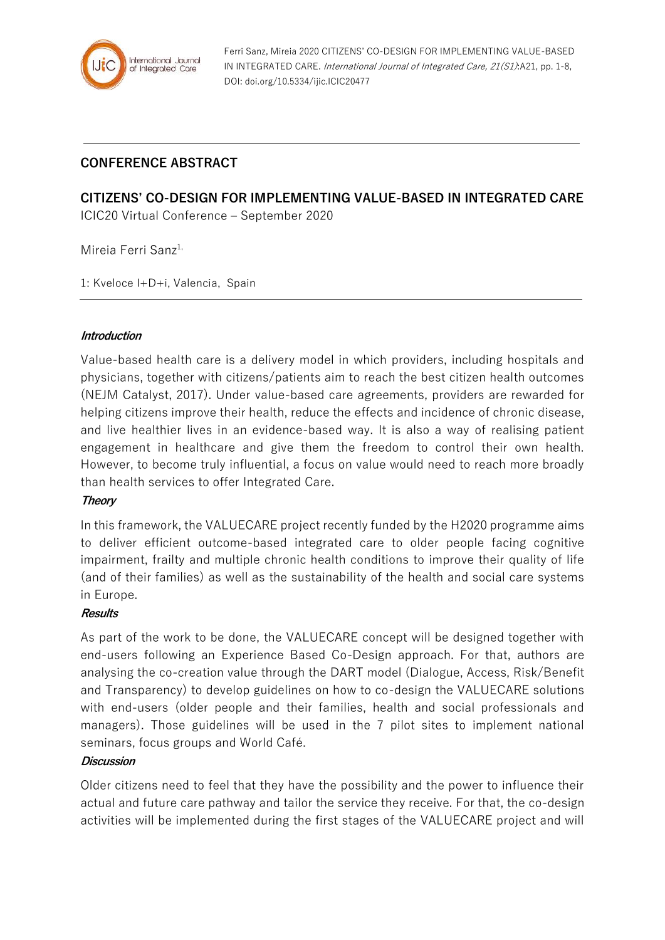

Ferri Sanz, Mireia 2020 CITIZENS' CO-DESIGN FOR IMPLEMENTING VALUE-BASED IN INTEGRATED CARE. International Journal of Integrated Care, 21(S1):A21, pp. 1-8, DOI: doi.org/10.5334/ijic.ICIC20477

# **CONFERENCE ABSTRACT**

# **CITIZENS' CO-DESIGN FOR IMPLEMENTING VALUE-BASED IN INTEGRATED CARE** ICIC20 Virtual Conference – September 2020

Mireia Ferri Sanz<sup>1,</sup>

1: Kveloce I+D+i, Valencia, Spain

#### **Introduction**

Value-based health care is a delivery model in which providers, including hospitals and physicians, together with citizens/patients aim to reach the best citizen health outcomes (NEJM Catalyst, 2017). Under value-based care agreements, providers are rewarded for helping citizens improve their health, reduce the effects and incidence of chronic disease, and live healthier lives in an evidence-based way. It is also a way of realising patient engagement in healthcare and give them the freedom to control their own health. However, to become truly influential, a focus on value would need to reach more broadly than health services to offer Integrated Care.

#### **Theory**

In this framework, the VALUECARE project recently funded by the H2020 programme aims to deliver efficient outcome-based integrated care to older people facing cognitive impairment, frailty and multiple chronic health conditions to improve their quality of life (and of their families) as well as the sustainability of the health and social care systems in Europe.

#### **Results**

As part of the work to be done, the VALUECARE concept will be designed together with end-users following an Experience Based Co-Design approach. For that, authors are analysing the co-creation value through the DART model (Dialogue, Access, Risk/Benefit and Transparency) to develop guidelines on how to co-design the VALUECARE solutions with end-users (older people and their families, health and social professionals and managers). Those guidelines will be used in the 7 pilot sites to implement national seminars, focus groups and World Café.

### **Discussion**

Older citizens need to feel that they have the possibility and the power to influence their actual and future care pathway and tailor the service they receive. For that, the co-design activities will be implemented during the first stages of the VALUECARE project and will